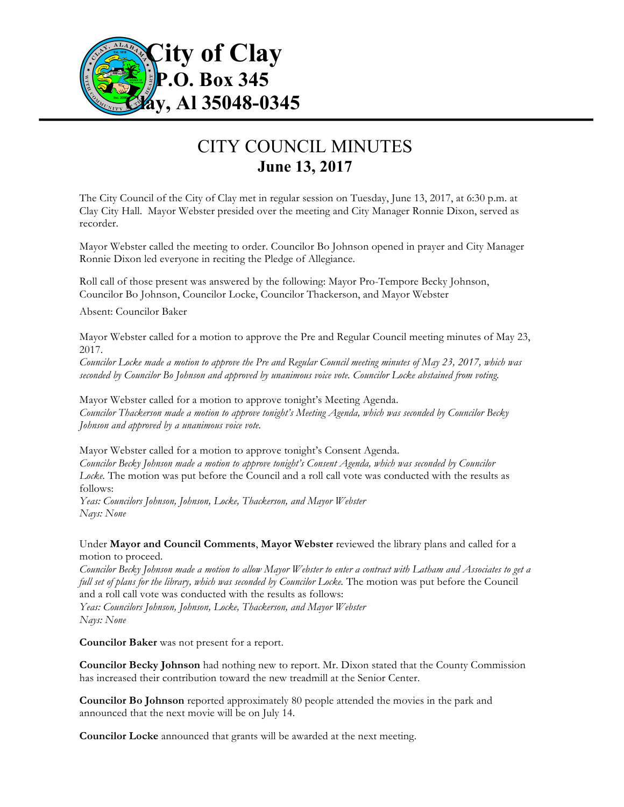

## CITY COUNCIL MINUTES **June 13, 2017**

The City Council of the City of Clay met in regular session on Tuesday, June 13, 2017, at 6:30 p.m. at Clay City Hall. Mayor Webster presided over the meeting and City Manager Ronnie Dixon, served as recorder.

Mayor Webster called the meeting to order. Councilor Bo Johnson opened in prayer and City Manager Ronnie Dixon led everyone in reciting the Pledge of Allegiance.

Roll call of those present was answered by the following: Mayor Pro-Tempore Becky Johnson, Councilor Bo Johnson, Councilor Locke, Councilor Thackerson, and Mayor Webster

Absent: Councilor Baker

Mayor Webster called for a motion to approve the Pre and Regular Council meeting minutes of May 23, 2017.

*Councilor Locke made a motion to approve the Pre and Regular Council meeting minutes of May 23, 2017, which was seconded by Councilor Bo Johnson and approved by unanimous voice vote. Councilor Locke abstained from voting.*

Mayor Webster called for a motion to approve tonight's Meeting Agenda. *Councilor Thackerson made a motion to approve tonight's Meeting Agenda, which was seconded by Councilor Becky Johnson and approved by a unanimous voice vote.*

Mayor Webster called for a motion to approve tonight's Consent Agenda. *Councilor Becky Johnson made a motion to approve tonight's Consent Agenda, which was seconded by Councilor Locke.* The motion was put before the Council and a roll call vote was conducted with the results as follows:

*Yeas: Councilors Johnson, Johnson, Locke, Thackerson, and Mayor Webster Nays: None*

Under **Mayor and Council Comments**, **Mayor Webster** reviewed the library plans and called for a motion to proceed.

*Councilor Becky Johnson made a motion to allow Mayor Webster to enter a contract with Latham and Associates to get a full set of plans for the library, which was seconded by Councilor Locke.* The motion was put before the Council and a roll call vote was conducted with the results as follows:

*Yeas: Councilors Johnson, Johnson, Locke, Thackerson, and Mayor Webster Nays: None*

**Councilor Baker** was not present for a report.

**Councilor Becky Johnson** had nothing new to report. Mr. Dixon stated that the County Commission has increased their contribution toward the new treadmill at the Senior Center.

**Councilor Bo Johnson** reported approximately 80 people attended the movies in the park and announced that the next movie will be on July 14.

**Councilor Locke** announced that grants will be awarded at the next meeting.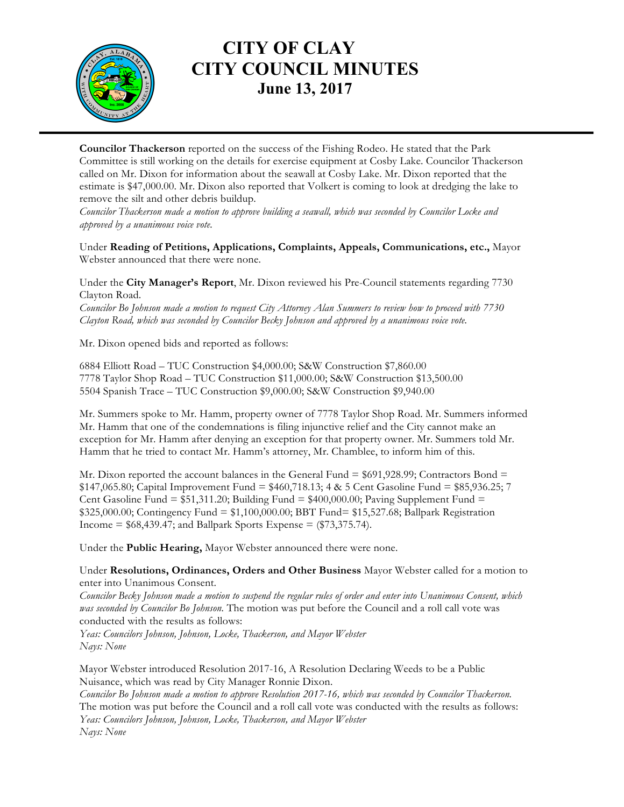

## **CITY OF CLAY CITY COUNCIL MINUTES June 13, 2017**

**Councilor Thackerson** reported on the success of the Fishing Rodeo. He stated that the Park Committee is still working on the details for exercise equipment at Cosby Lake. Councilor Thackerson called on Mr. Dixon for information about the seawall at Cosby Lake. Mr. Dixon reported that the estimate is \$47,000.00. Mr. Dixon also reported that Volkert is coming to look at dredging the lake to remove the silt and other debris buildup.

*Councilor Thackerson made a motion to approve building a seawall, which was seconded by Councilor Locke and approved by a unanimous voice vote.*

Under **Reading of Petitions, Applications, Complaints, Appeals, Communications, etc.,** Mayor Webster announced that there were none.

Under the **City Manager's Report**, Mr. Dixon reviewed his Pre-Council statements regarding 7730 Clayton Road.

*Councilor Bo Johnson made a motion to request City Attorney Alan Summers to review how to proceed with 7730 Clayton Road, which was seconded by Councilor Becky Johnson and approved by a unanimous voice vote.*

Mr. Dixon opened bids and reported as follows:

6884 Elliott Road – TUC Construction \$4,000.00; S&W Construction \$7,860.00 7778 Taylor Shop Road – TUC Construction \$11,000.00; S&W Construction \$13,500.00 5504 Spanish Trace – TUC Construction \$9,000.00; S&W Construction \$9,940.00

Mr. Summers spoke to Mr. Hamm, property owner of 7778 Taylor Shop Road. Mr. Summers informed Mr. Hamm that one of the condemnations is filing injunctive relief and the City cannot make an exception for Mr. Hamm after denying an exception for that property owner. Mr. Summers told Mr. Hamm that he tried to contact Mr. Hamm's attorney, Mr. Chamblee, to inform him of this.

Mr. Dixon reported the account balances in the General Fund  $= $691,928.99$ ; Contractors Bond  $=$  $$147,065.80$ ; Capital Improvement Fund =  $$460,718.13$ ; 4 & 5 Cent Gasoline Fund =  $$85,936.25$ ; 7 Cent Gasoline Fund =  $$51,311.20$ ; Building Fund =  $$400,000.00$ ; Paving Supplement Fund = \$325,000.00; Contingency Fund = \$1,100,000.00; BBT Fund= \$15,527.68; Ballpark Registration Income =  $$68,439.47$ ; and Ballpark Sports Expense =  $$73,375.74$ ).

Under the **Public Hearing,** Mayor Webster announced there were none.

Under **Resolutions, Ordinances, Orders and Other Business** Mayor Webster called for a motion to enter into Unanimous Consent.

*Councilor Becky Johnson made a motion to suspend the regular rules of order and enter into Unanimous Consent, which was seconded by Councilor Bo Johnson.* The motion was put before the Council and a roll call vote was conducted with the results as follows:

*Yeas: Councilors Johnson, Johnson, Locke, Thackerson, and Mayor Webster Nays: None*

Mayor Webster introduced Resolution 2017-16, A Resolution Declaring Weeds to be a Public Nuisance, which was read by City Manager Ronnie Dixon.

*Councilor Bo Johnson made a motion to approve Resolution 2017-16, which was seconded by Councilor Thackerson.*  The motion was put before the Council and a roll call vote was conducted with the results as follows: *Yeas: Councilors Johnson, Johnson, Locke, Thackerson, and Mayor Webster Nays: None*